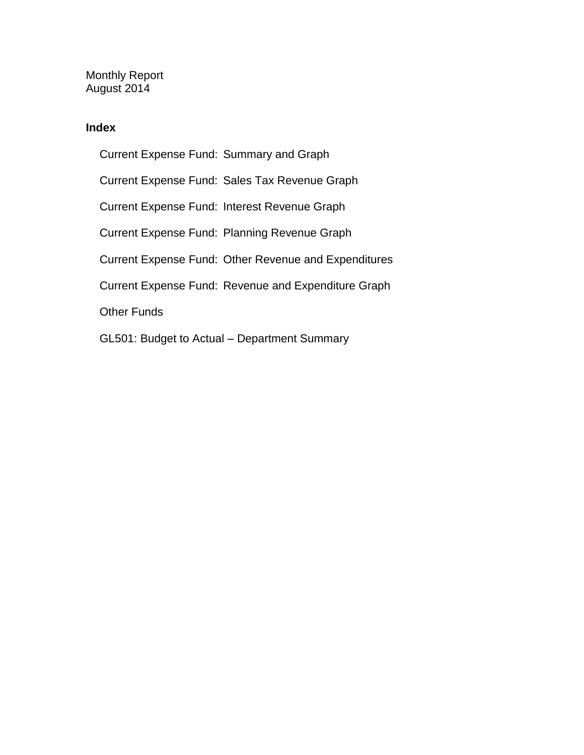Monthly Report August 2014

## **Index**

Current Expense Fund: Summary and Graph Current Expense Fund: Sales Tax Revenue Graph Current Expense Fund: Interest Revenue Graph Current Expense Fund: Planning Revenue Graph Current Expense Fund: Other Revenue and Expenditures Current Expense Fund: Revenue and Expenditure Graph Other Funds GL501: Budget to Actual – Department Summary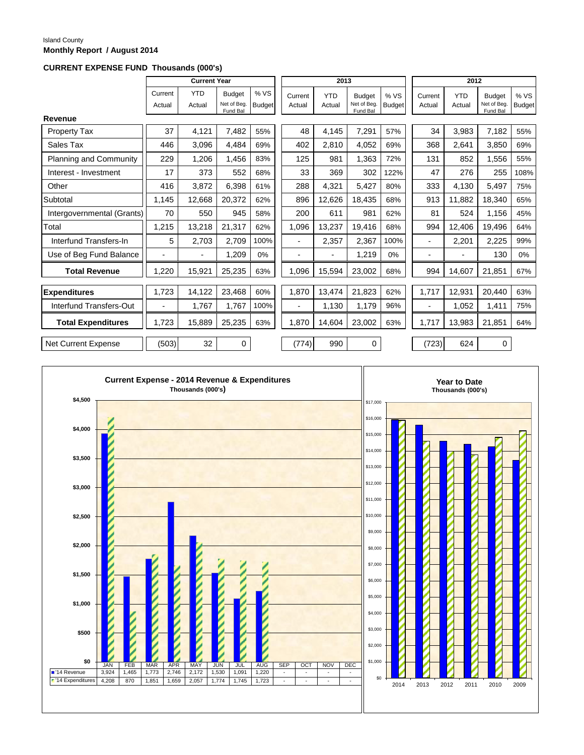#### Island County **Monthly Report / August 2014**

### **CURRENT EXPENSE FUND Thousands (000's)**

|                               |                          | <b>Current Year</b>  |                                          |                       |                   | 2013                 |                                          |                       |                          | 2012                 |                                         |                       |
|-------------------------------|--------------------------|----------------------|------------------------------------------|-----------------------|-------------------|----------------------|------------------------------------------|-----------------------|--------------------------|----------------------|-----------------------------------------|-----------------------|
|                               | Current<br>Actual        | <b>YTD</b><br>Actual | <b>Budget</b><br>Net of Beg.<br>Fund Bal | % VS<br><b>Budget</b> | Current<br>Actual | <b>YTD</b><br>Actual | <b>Budget</b><br>Net of Beg.<br>Fund Bal | % VS<br><b>Budget</b> | Current<br>Actual        | <b>YTD</b><br>Actual | <b>Budget</b><br>Net of Beg<br>Fund Bal | % VS<br><b>Budget</b> |
| Revenue                       |                          |                      |                                          |                       |                   |                      |                                          |                       |                          |                      |                                         |                       |
| <b>Property Tax</b>           | 37                       | 4,121                | 7,482                                    | 55%                   | 48                | 4,145                | 7,291                                    | 57%                   | 34                       | 3,983                | 7,182                                   | 55%                   |
| Sales Tax                     | 446                      | 3.096                | 4,484                                    | 69%                   | 402               | 2,810                | 4,052                                    | 69%                   | 368                      | 2,641                | 3.850                                   | 69%                   |
| <b>Planning and Community</b> | 229                      | 1.206                | 1,456                                    | 83%                   | 125               | 981                  | 1,363                                    | 72%                   | 131                      | 852                  | 1,556                                   | 55%                   |
| Interest - Investment         | 17                       | 373                  | 552                                      | 68%                   | 33                | 369                  | 302                                      | 122%                  | 47                       | 276                  | 255                                     | 108%                  |
| Other                         | 416                      | 3,872                | 6,398                                    | 61%                   | 288               | 4,321                | 5,427                                    | 80%                   | 333                      | 4,130                | 5,497                                   | 75%                   |
| Subtotal                      | 1,145                    | 12,668               | 20,372                                   | 62%                   | 896               | 12,626               | 18,435                                   | 68%                   | 913                      | 11,882               | 18,340                                  | 65%                   |
| Intergovernmental (Grants)    | 70                       | 550                  | 945                                      | 58%                   | 200               | 611                  | 981                                      | 62%                   | 81                       | 524                  | 1,156                                   | 45%                   |
| Total                         | 1,215                    | 13,218               | 21,317                                   | 62%                   | 1,096             | 13,237               | 19,416                                   | 68%                   | 994                      | 12.406               | 19,496                                  | 64%                   |
| Interfund Transfers-In        | 5                        | 2,703                | 2,709                                    | 100%                  |                   | 2,357                | 2,367                                    | 100%                  | $\overline{\phantom{0}}$ | 2,201                | 2,225                                   | 99%                   |
| Use of Beg Fund Balance       | -                        |                      | 1,209                                    | 0%                    |                   | $\blacksquare$       | 1,219                                    | 0%                    | $\overline{\phantom{0}}$ |                      | 130                                     | 0%                    |
| <b>Total Revenue</b>          | 1,220                    | 15,921               | 25,235                                   | 63%                   | 1,096             | 15,594               | 23,002                                   | 68%                   | 994                      | 14,607               | 21,851                                  | 67%                   |
| Expenditures                  | 1.723                    | 14,122               | 23,468                                   | 60%                   | 1,870             | 13,474               | 21,823                                   | 62%                   | 1,717                    | 12,931               | 20.440                                  | 63%                   |
| Interfund Transfers-Out       | $\overline{\phantom{a}}$ | 1,767                | 1,767                                    | 100%                  |                   | 1,130                | 1,179                                    | 96%                   | $\overline{a}$           | 1,052                | 1,411                                   | 75%                   |
| <b>Total Expenditures</b>     | 1.723                    | 15.889               | 25,235                                   | 63%                   | 1.870             | 14,604               | 23,002                                   | 63%                   | 1.717                    | 13.983               | 21,851                                  | 64%                   |
| <b>Net Current Expense</b>    | (503)                    | 32                   | $\mathbf 0$                              |                       | (774)             | 990                  | $\mathbf 0$                              |                       | (723)                    | 624                  | $\mathbf 0$                             |                       |

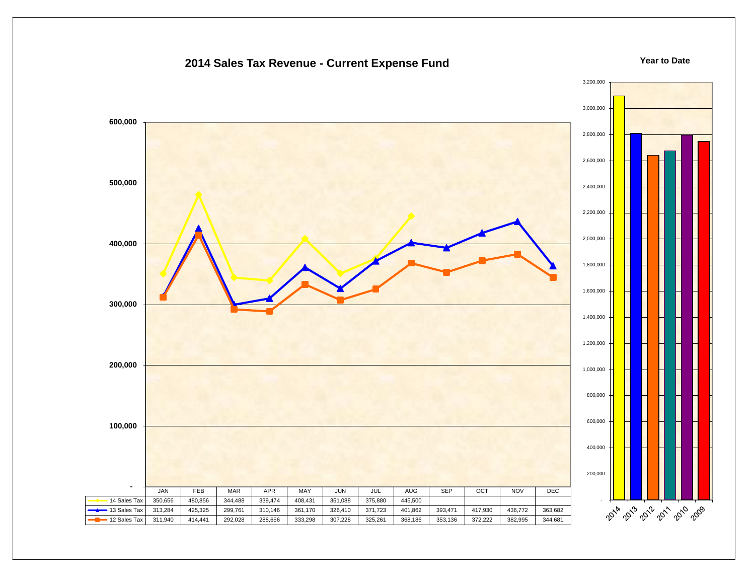## **2014 Sales Tax Revenue - Current Expense Fund**

#### **Year to Date**

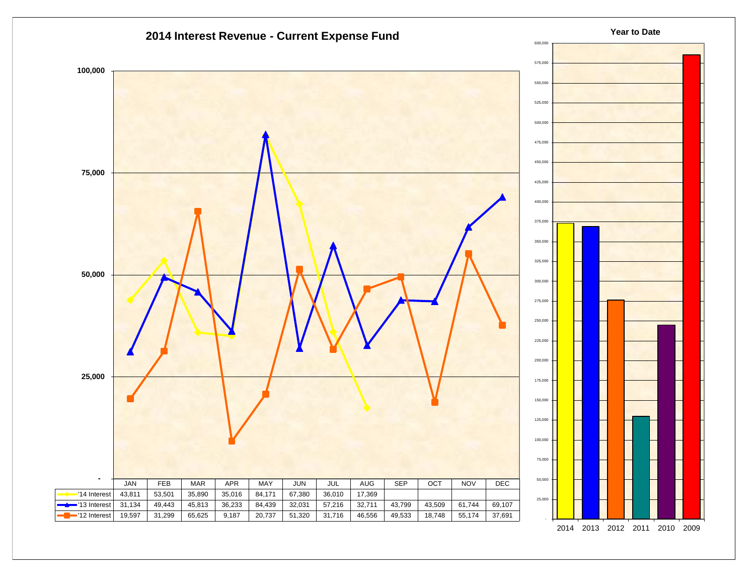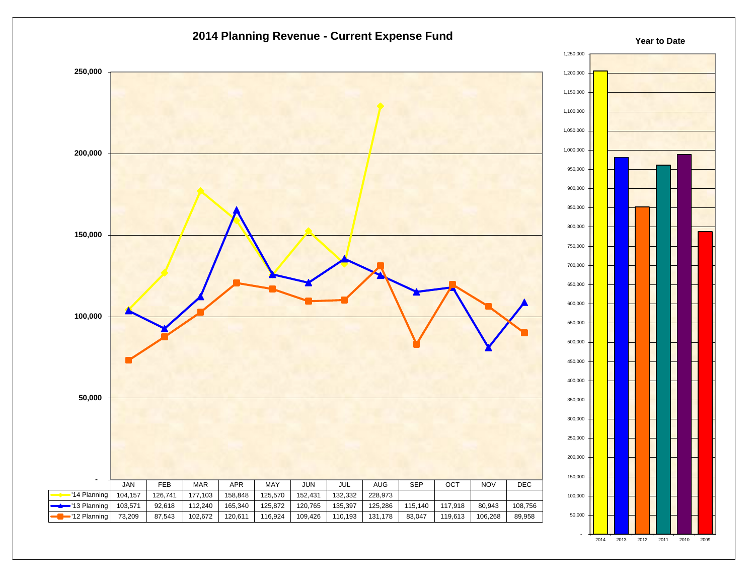



**Year to Date**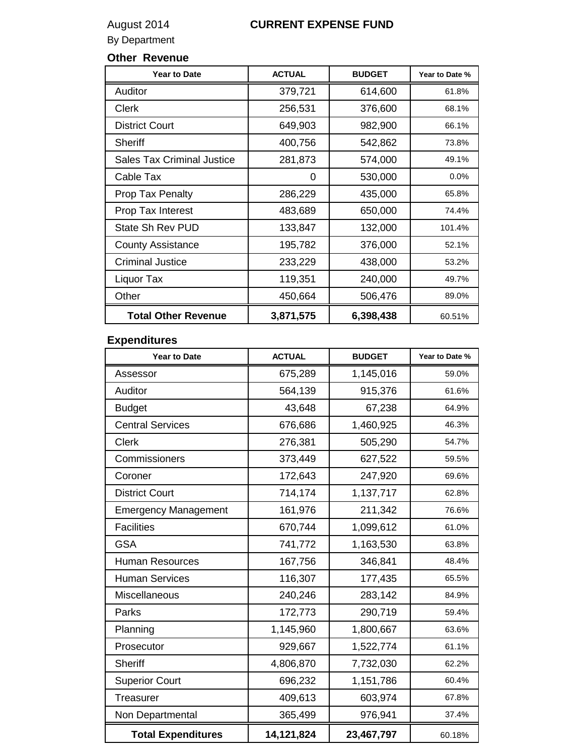## August 2014 **CURRENT EXPENSE FUND**

By Department

## **Other Revenue**

| <b>Year to Date</b>               | <b>ACTUAL</b> | <b>BUDGET</b> | Year to Date % |
|-----------------------------------|---------------|---------------|----------------|
| Auditor                           | 379,721       | 614,600       | 61.8%          |
| <b>Clerk</b>                      | 256,531       | 376,600       | 68.1%          |
| <b>District Court</b>             | 649,903       | 982,900       | 66.1%          |
| <b>Sheriff</b>                    | 400,756       | 542,862       | 73.8%          |
| <b>Sales Tax Criminal Justice</b> | 281,873       | 574,000       | 49.1%          |
| Cable Tax                         | 0             | 530,000       | 0.0%           |
| <b>Prop Tax Penalty</b>           | 286,229       | 435,000       | 65.8%          |
| Prop Tax Interest                 | 483,689       | 650,000       | 74.4%          |
| State Sh Rev PUD                  | 133,847       | 132,000       | 101.4%         |
| <b>County Assistance</b>          | 195,782       | 376,000       | 52.1%          |
| <b>Criminal Justice</b>           | 233,229       | 438,000       | 53.2%          |
| Liquor Tax                        | 119,351       | 240,000       | 49.7%          |
| Other                             | 450,664       | 506,476       | 89.0%          |
| <b>Total Other Revenue</b>        | 3,871,575     | 6,398,438     | 60.51%         |

## **Expenditures**

| <b>Year to Date</b>         | <b>ACTUAL</b> | <b>BUDGET</b> | Year to Date % |
|-----------------------------|---------------|---------------|----------------|
| Assessor                    | 675,289       | 1,145,016     | 59.0%          |
| Auditor                     | 564,139       | 915,376       | 61.6%          |
| <b>Budget</b>               | 43,648        | 67,238        | 64.9%          |
| <b>Central Services</b>     | 676,686       | 1,460,925     | 46.3%          |
| <b>Clerk</b>                | 276,381       | 505,290       | 54.7%          |
| Commissioners               | 373,449       | 627,522       | 59.5%          |
| Coroner                     | 172,643       | 247,920       | 69.6%          |
| <b>District Court</b>       | 714,174       | 1,137,717     | 62.8%          |
| <b>Emergency Management</b> | 161,976       | 211,342       | 76.6%          |
| <b>Facilities</b>           | 670,744       | 1,099,612     | 61.0%          |
| <b>GSA</b>                  | 741,772       | 1,163,530     | 63.8%          |
| <b>Human Resources</b>      | 167,756       | 346,841       | 48.4%          |
| <b>Human Services</b>       | 116,307       | 177,435       | 65.5%          |
| Miscellaneous               | 240,246       | 283,142       | 84.9%          |
| Parks                       | 172,773       | 290,719       | 59.4%          |
| Planning                    | 1,145,960     | 1,800,667     | 63.6%          |
| Prosecutor                  | 929,667       | 1,522,774     | 61.1%          |
| <b>Sheriff</b>              | 4,806,870     | 7,732,030     | 62.2%          |
| <b>Superior Court</b>       | 696,232       | 1,151,786     | 60.4%          |
| <b>Treasurer</b>            | 409,613       | 603,974       | 67.8%          |
| Non Departmental            | 365,499       | 976,941       | 37.4%          |
| <b>Total Expenditures</b>   | 14,121,824    | 23,467,797    | 60.18%         |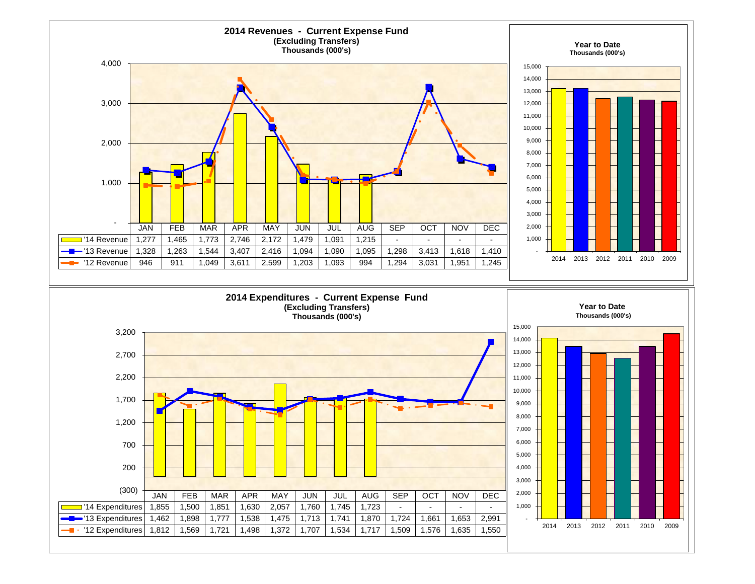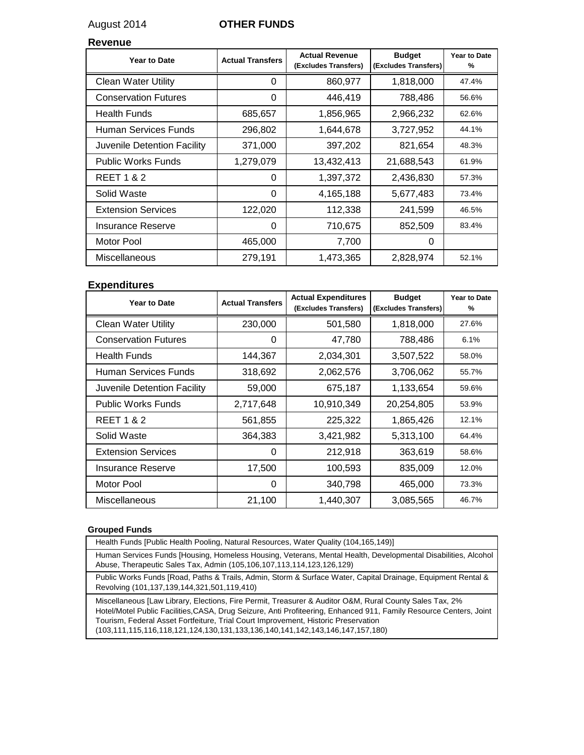### August 2014 **OTHER FUNDS**

#### **Revenue**

| <b>Year to Date</b>         | <b>Actual Transfers</b> | <b>Actual Revenue</b><br>(Excludes Transfers) | <b>Budget</b><br>(Excludes Transfers) | <b>Year to Date</b><br>% |
|-----------------------------|-------------------------|-----------------------------------------------|---------------------------------------|--------------------------|
| <b>Clean Water Utility</b>  | 0                       | 860,977                                       | 1,818,000                             | 47.4%                    |
| <b>Conservation Futures</b> | 0                       | 446,419                                       | 788,486                               | 56.6%                    |
| <b>Health Funds</b>         | 685,657                 | 1,856,965                                     | 2,966,232                             | 62.6%                    |
| Human Services Funds        | 296,802                 | 1,644,678                                     | 3,727,952                             | 44.1%                    |
| Juvenile Detention Facility | 371,000                 | 397,202                                       | 821,654                               | 48.3%                    |
| <b>Public Works Funds</b>   | 1,279,079               | 13,432,413                                    | 21,688,543                            | 61.9%                    |
| <b>REET 1 &amp; 2</b>       | 0                       | 1,397,372                                     | 2,436,830                             | 57.3%                    |
| Solid Waste                 | 0                       | 4,165,188                                     | 5,677,483                             | 73.4%                    |
| <b>Extension Services</b>   | 122,020                 | 112,338                                       | 241,599                               | 46.5%                    |
| <b>Insurance Reserve</b>    | 0                       | 710,675                                       | 852,509                               | 83.4%                    |
| Motor Pool                  | 465,000                 | 7,700                                         | 0                                     |                          |
| Miscellaneous               | 279,191                 | 1,473,365                                     | 2,828,974                             | 52.1%                    |

#### **Expenditures**

| <b>Year to Date</b>         | <b>Actual Transfers</b> | <b>Actual Expenditures</b><br>(Excludes Transfers) | <b>Budget</b><br>(Excludes Transfers) | <b>Year to Date</b><br>% |
|-----------------------------|-------------------------|----------------------------------------------------|---------------------------------------|--------------------------|
| <b>Clean Water Utility</b>  | 230,000                 | 501,580                                            | 1,818,000                             | 27.6%                    |
| <b>Conservation Futures</b> | 0                       | 47,780                                             | 788,486                               | 6.1%                     |
| <b>Health Funds</b>         | 144,367                 | 2,034,301                                          | 3,507,522                             | 58.0%                    |
| Human Services Funds        | 318,692                 | 2,062,576                                          | 3,706,062                             | 55.7%                    |
| Juvenile Detention Facility | 59,000                  | 675,187                                            | 1,133,654                             | 59.6%                    |
| <b>Public Works Funds</b>   | 2,717,648               | 10,910,349                                         | 20,254,805                            | 53.9%                    |
| <b>REET 1 &amp; 2</b>       | 561,855                 | 225,322                                            | 1,865,426                             | 12.1%                    |
| Solid Waste                 | 364,383                 | 3,421,982                                          | 5,313,100                             | 64.4%                    |
| <b>Extension Services</b>   | 0                       | 212,918                                            | 363,619                               | 58.6%                    |
| Insurance Reserve           | 17,500                  | 100,593                                            | 835,009                               | 12.0%                    |
| Motor Pool                  | 0                       | 340,798                                            | 465,000                               | 73.3%                    |
| Miscellaneous               | 21,100                  | 1.440.307                                          | 3,085,565                             | 46.7%                    |

#### **Grouped Funds**

Health Funds [Public Health Pooling, Natural Resources, Water Quality (104,165,149)]

Human Services Funds [Housing, Homeless Housing, Veterans, Mental Health, Developmental Disabilities, Alcohol Abuse, Therapeutic Sales Tax, Admin (105,106,107,113,114,123,126,129)

Public Works Funds [Road, Paths & Trails, Admin, Storm & Surface Water, Capital Drainage, Equipment Rental & Revolving (101,137,139,144,321,501,119,410)

Miscellaneous [Law Library, Elections, Fire Permit, Treasurer & Auditor O&M, Rural County Sales Tax, 2% Hotel/Motel Public Facilities,CASA, Drug Seizure, Anti Profiteering, Enhanced 911, Family Resource Centers, Joint Tourism, Federal Asset Fortfeiture, Trial Court Improvement, Historic Preservation (103,111,115,116,118,121,124,130,131,133,136,140,141,142,143,146,147,157,180)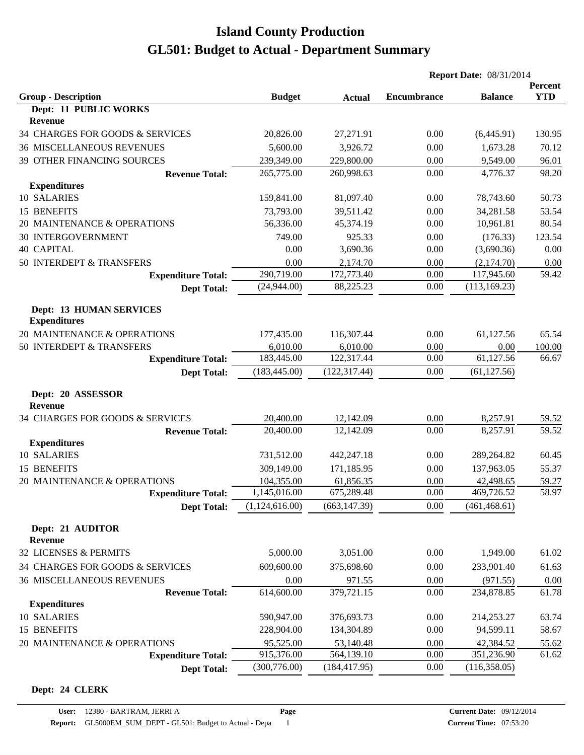|                                                       |                |               | <b>Report Date: 08/31/2014</b> |                |                       |
|-------------------------------------------------------|----------------|---------------|--------------------------------|----------------|-----------------------|
| <b>Group - Description</b>                            | <b>Budget</b>  | <b>Actual</b> | <b>Encumbrance</b>             | <b>Balance</b> | Percent<br><b>YTD</b> |
| Dept: 11 PUBLIC WORKS                                 |                |               |                                |                |                       |
| Revenue                                               |                |               |                                |                |                       |
| 34 CHARGES FOR GOODS & SERVICES                       | 20,826.00      | 27,271.91     | 0.00                           | (6,445.91)     | 130.95                |
| <b>36 MISCELLANEOUS REVENUES</b>                      | 5,600.00       | 3,926.72      | 0.00                           | 1,673.28       | 70.12                 |
| 39 OTHER FINANCING SOURCES                            | 239,349.00     | 229,800.00    | 0.00                           | 9,549.00       | 96.01                 |
| <b>Revenue Total:</b>                                 | 265,775.00     | 260,998.63    | 0.00                           | 4,776.37       | 98.20                 |
| <b>Expenditures</b>                                   |                |               |                                |                |                       |
| 10 SALARIES                                           | 159,841.00     | 81,097.40     | 0.00                           | 78,743.60      | 50.73                 |
| 15 BENEFITS                                           | 73,793.00      | 39,511.42     | 0.00                           | 34,281.58      | 53.54                 |
| 20 MAINTENANCE & OPERATIONS                           | 56,336.00      | 45,374.19     | 0.00                           | 10,961.81      | 80.54                 |
| <b>30 INTERGOVERNMENT</b>                             | 749.00         | 925.33        | 0.00                           | (176.33)       | 123.54                |
| <b>40 CAPITAL</b>                                     | 0.00           | 3,690.36      | 0.00                           | (3,690.36)     | 0.00                  |
| 50 INTERDEPT & TRANSFERS                              | 0.00           | 2,174.70      | 0.00                           | (2,174.70)     | 0.00                  |
| <b>Expenditure Total:</b>                             | 290,719.00     | 172,773.40    | 0.00                           | 117,945.60     | 59.42                 |
| <b>Dept Total:</b>                                    | (24,944.00)    | 88,225.23     | 0.00                           | (113, 169.23)  |                       |
| <b>Dept: 13 HUMAN SERVICES</b><br><b>Expenditures</b> |                |               |                                |                |                       |
| 20 MAINTENANCE & OPERATIONS                           | 177,435.00     | 116,307.44    | 0.00                           | 61,127.56      | 65.54                 |
| 50 INTERDEPT & TRANSFERS                              | 6,010.00       | 6,010.00      | 0.00                           | 0.00           | 100.00                |
| <b>Expenditure Total:</b>                             | 183,445.00     | 122,317.44    | 0.00                           | 61,127.56      | 66.67                 |
| <b>Dept Total:</b>                                    | (183, 445.00)  | (122, 317.44) | 0.00                           | (61, 127.56)   |                       |
| Dept: 20 ASSESSOR<br><b>Revenue</b>                   |                |               |                                |                |                       |
| 34 CHARGES FOR GOODS & SERVICES                       | 20,400.00      | 12,142.09     | 0.00                           | 8,257.91       | 59.52                 |
| <b>Revenue Total:</b>                                 | 20,400.00      | 12,142.09     | 0.00                           | 8,257.91       | 59.52                 |
| <b>Expenditures</b>                                   |                |               |                                |                |                       |
| 10 SALARIES                                           | 731,512.00     | 442,247.18    | 0.00                           | 289,264.82     | 60.45                 |
| 15 BENEFITS                                           | 309,149.00     | 171,185.95    | 0.00                           | 137,963.05     | 55.37                 |
| 20 MAINTENANCE & OPERATIONS                           | 104,355.00     | 61,856.35     | 0.00                           | 42,498.65      | 59.27                 |
| <b>Expenditure Total:</b>                             | 1,145,016.00   | 675,289.48    | 0.00                           | 469,726.52     | 58.97                 |
| <b>Dept Total:</b>                                    | (1,124,616.00) | (663, 147.39) | 0.00                           | (461, 468.61)  |                       |
| Dept: 21 AUDITOR<br><b>Revenue</b>                    |                |               |                                |                |                       |
| 32 LICENSES & PERMITS                                 | 5,000.00       | 3,051.00      | 0.00                           | 1,949.00       | 61.02                 |
| 34 CHARGES FOR GOODS & SERVICES                       | 609,600.00     | 375,698.60    | 0.00                           | 233,901.40     | 61.63                 |
| <b>36 MISCELLANEOUS REVENUES</b>                      | 0.00           | 971.55        | 0.00                           | (971.55)       | 0.00                  |
| <b>Revenue Total:</b>                                 | 614,600.00     | 379,721.15    | 0.00                           | 234,878.85     | 61.78                 |
| <b>Expenditures</b>                                   |                |               |                                |                |                       |
| 10 SALARIES                                           | 590,947.00     | 376,693.73    | 0.00                           | 214,253.27     | 63.74                 |
| 15 BENEFITS                                           | 228,904.00     | 134,304.89    | 0.00                           | 94,599.11      | 58.67                 |
| 20 MAINTENANCE & OPERATIONS                           | 95,525.00      | 53,140.48     | 0.00                           | 42,384.52      | 55.62                 |
| <b>Expenditure Total:</b>                             | 915,376.00     | 564,139.10    | 0.00                           | 351,236.90     | 61.62                 |
| <b>Dept Total:</b>                                    | (300, 776.00)  | (184, 417.95) | 0.00                           | (116,358.05)   |                       |

#### **Dept: 24 CLERK**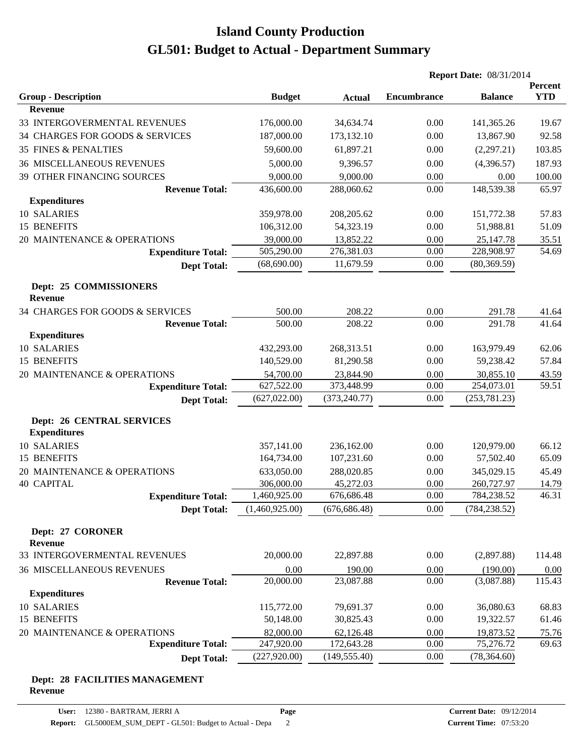|                                                         |                |               | <b>Report Date: 08/31/2014</b> |                |                       |
|---------------------------------------------------------|----------------|---------------|--------------------------------|----------------|-----------------------|
| <b>Group - Description</b>                              | <b>Budget</b>  | <b>Actual</b> | <b>Encumbrance</b>             | <b>Balance</b> | Percent<br><b>YTD</b> |
| <b>Revenue</b>                                          |                |               |                                |                |                       |
| 33 INTERGOVERMENTAL REVENUES                            | 176,000.00     | 34,634.74     | 0.00                           | 141,365.26     | 19.67                 |
| 34 CHARGES FOR GOODS & SERVICES                         | 187,000.00     | 173,132.10    | 0.00                           | 13,867.90      | 92.58                 |
| 35 FINES & PENALTIES                                    | 59,600.00      | 61,897.21     | 0.00                           | (2,297.21)     | 103.85                |
| <b>36 MISCELLANEOUS REVENUES</b>                        | 5,000.00       | 9,396.57      | 0.00                           | (4,396.57)     | 187.93                |
| 39 OTHER FINANCING SOURCES                              | 9,000.00       | 9,000.00      | 0.00                           | 0.00           | 100.00                |
| <b>Revenue Total:</b>                                   | 436,600.00     | 288,060.62    | 0.00                           | 148,539.38     | 65.97                 |
| <b>Expenditures</b>                                     |                |               |                                |                |                       |
| 10 SALARIES                                             | 359,978.00     | 208,205.62    | 0.00                           | 151,772.38     | 57.83                 |
| 15 BENEFITS                                             | 106,312.00     | 54,323.19     | 0.00                           | 51,988.81      | 51.09                 |
| 20 MAINTENANCE & OPERATIONS                             | 39,000.00      | 13,852.22     | 0.00                           | 25,147.78      | 35.51                 |
| <b>Expenditure Total:</b>                               | 505,290.00     | 276,381.03    | 0.00                           | 228,908.97     | 54.69                 |
| <b>Dept Total:</b>                                      | (68,690.00)    | 11,679.59     | 0.00                           | (80, 369.59)   |                       |
| Dept: 25 COMMISSIONERS                                  |                |               |                                |                |                       |
| <b>Revenue</b>                                          |                |               |                                |                |                       |
| 34 CHARGES FOR GOODS & SERVICES                         | 500.00         | 208.22        | 0.00                           | 291.78         | 41.64                 |
| <b>Revenue Total:</b>                                   | 500.00         | 208.22        | 0.00                           | 291.78         | 41.64                 |
| <b>Expenditures</b>                                     |                |               |                                |                |                       |
| 10 SALARIES                                             | 432,293.00     | 268,313.51    | 0.00                           | 163,979.49     | 62.06                 |
| 15 BENEFITS                                             | 140,529.00     | 81,290.58     | 0.00                           | 59,238.42      | 57.84                 |
| 20 MAINTENANCE & OPERATIONS                             | 54,700.00      | 23,844.90     | 0.00                           | 30,855.10      | 43.59                 |
| <b>Expenditure Total:</b>                               | 627,522.00     | 373,448.99    | 0.00                           | 254,073.01     | 59.51                 |
| <b>Dept Total:</b>                                      | (627, 022.00)  | (373, 240.77) | 0.00                           | (253, 781.23)  |                       |
| <b>Dept: 26 CENTRAL SERVICES</b><br><b>Expenditures</b> |                |               |                                |                |                       |
| 10 SALARIES                                             | 357,141.00     | 236,162.00    | 0.00                           | 120,979.00     | 66.12                 |
| 15 BENEFITS                                             | 164,734.00     | 107,231.60    | 0.00                           | 57,502.40      | 65.09                 |
| 20 MAINTENANCE & OPERATIONS                             | 633,050.00     | 288,020.85    | 0.00                           | 345,029.15     | 45.49                 |
| <b>40 CAPITAL</b>                                       | 306,000.00     | 45,272.03     | 0.00                           | 260,727.97     | 14.79                 |
| <b>Expenditure Total:</b>                               | 1,460,925.00   | 676,686.48    | 0.00                           | 784,238.52     | 46.31                 |
| <b>Dept Total:</b>                                      | (1,460,925.00) | (676, 686.48) | 0.00                           | (784, 238.52)  |                       |
| Dept: 27 CORONER                                        |                |               |                                |                |                       |
| <b>Revenue</b>                                          |                |               |                                |                |                       |
| 33 INTERGOVERMENTAL REVENUES                            | 20,000.00      | 22,897.88     | 0.00                           | (2,897.88)     | 114.48                |
| <b>36 MISCELLANEOUS REVENUES</b>                        | 0.00           | 190.00        | 0.00                           | (190.00)       | 0.00                  |
| <b>Revenue Total:</b>                                   | 20,000.00      | 23,087.88     | 0.00                           | (3,087.88)     | 115.43                |
| <b>Expenditures</b>                                     |                |               |                                |                |                       |
| 10 SALARIES                                             | 115,772.00     | 79,691.37     | 0.00                           | 36,080.63      | 68.83                 |
| 15 BENEFITS                                             | 50,148.00      | 30,825.43     | 0.00                           | 19,322.57      | 61.46                 |
| 20 MAINTENANCE & OPERATIONS                             | 82,000.00      | 62,126.48     | 0.00                           | 19,873.52      | 75.76                 |
| <b>Expenditure Total:</b>                               | 247,920.00     | 172,643.28    | 0.00                           | 75,276.72      | 69.63                 |
| <b>Dept Total:</b>                                      | (227, 920.00)  | (149, 555.40) | 0.00                           | (78, 364.60)   |                       |
|                                                         |                |               |                                |                |                       |

#### **Dept: 28 FACILITIES MANAGEMENT Revenue**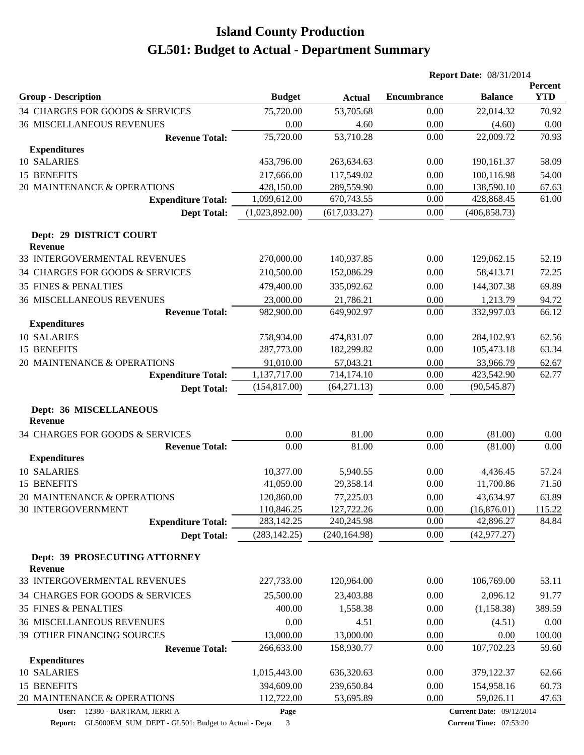| <b>Encumbrance</b><br><b>YTD</b><br><b>Group - Description</b><br><b>Budget</b><br><b>Balance</b><br><b>Actual</b><br>34 CHARGES FOR GOODS & SERVICES<br>75,720.00<br>53,705.68<br>0.00<br>22,014.32<br>70.92<br><b>36 MISCELLANEOUS REVENUES</b><br>0.00<br>0.00<br>0.00<br>4.60<br>(4.60)<br>75,720.00<br>70.93<br>53,710.28<br>0.00<br>22,009.72<br><b>Revenue Total:</b><br><b>Expenditures</b><br>10 SALARIES<br>453,796.00<br>190,161.37<br>58.09<br>263,634.63<br>0.00<br>15 BENEFITS<br>217,666.00<br>117,549.02<br>0.00<br>100,116.98<br>54.00<br>20 MAINTENANCE & OPERATIONS<br>428,150.00<br>289,559.90<br>0.00<br>138,590.10<br>67.63<br>1,099,612.00<br>670,743.55<br>0.00<br>428,868.45<br>61.00<br><b>Expenditure Total:</b><br>(1,023,892.00)<br>(617, 033.27)<br>0.00<br>(406, 858.73)<br><b>Dept Total:</b><br>Dept: 29 DISTRICT COURT<br><b>Revenue</b><br>33 INTERGOVERMENTAL REVENUES<br>270,000.00<br>0.00<br>52.19<br>140,937.85<br>129,062.15<br>34 CHARGES FOR GOODS & SERVICES<br>210,500.00<br>0.00<br>58,413.71<br>72.25<br>152,086.29<br>69.89<br><b>35 FINES &amp; PENALTIES</b><br>479,400.00<br>335,092.62<br>0.00<br>144,307.38<br><b>36 MISCELLANEOUS REVENUES</b><br>23,000.00<br>21,786.21<br>0.00<br>1,213.79<br>94.72<br><b>Revenue Total:</b><br>332,997.03<br>66.12<br>982,900.00<br>649,902.97<br>0.00<br><b>Expenditures</b><br>10 SALARIES<br>758,934.00<br>474,831.07<br>0.00<br>284,102.93<br>62.56<br>15 BENEFITS<br>287,773.00<br>182,299.82<br>0.00<br>105,473.18<br>63.34<br>20 MAINTENANCE & OPERATIONS<br>91,010.00<br>57,043.21<br>0.00<br>33,966.79<br>62.67<br>1,137,717.00<br>714,174.10<br>0.00<br>423,542.90<br>62.77<br><b>Expenditure Total:</b><br>(64, 271.13)<br>(154, 817.00)<br>0.00<br>(90, 545.87)<br><b>Dept Total:</b><br>Dept: 36 MISCELLANEOUS<br><b>Revenue</b><br>34 CHARGES FOR GOODS & SERVICES<br>0.00<br>81.00<br>0.00<br>(81.00)<br>0.00<br>81.00<br><b>Revenue Total:</b><br>0.00<br>0.00<br>(81.00)<br>0.00<br><b>Expenditures</b><br>10 SALARIES<br>10,377.00<br>0.00<br>4,436.45<br>57.24<br>5,940.55<br>15 BENEFITS<br>41,059.00<br>29,358.14<br>0.00<br>11,700.86<br>71.50<br>20 MAINTENANCE & OPERATIONS<br>120,860.00<br>77,225.03<br>0.00<br>43,634.97<br>63.89<br><b>30 INTERGOVERNMENT</b><br>110,846.25<br>127,722.26<br>0.00<br>(16,876.01)<br>115.22<br>283,142.25<br><b>Expenditure Total:</b><br>240,245.98<br>0.00<br>42,896.27<br>84.84<br>(283, 142.25)<br>0.00<br>(240, 164.98)<br>(42, 977.27)<br><b>Dept Total:</b><br>Dept: 39 PROSECUTING ATTORNEY<br><b>Revenue</b><br>33 INTERGOVERMENTAL REVENUES<br>227,733.00<br>120,964.00<br>0.00<br>106,769.00<br>53.11<br>34 CHARGES FOR GOODS & SERVICES<br>25,500.00<br>23,403.88<br>0.00<br>2,096.12<br>91.77<br><b>35 FINES &amp; PENALTIES</b><br>400.00<br>(1, 158.38)<br>389.59<br>1,558.38<br>0.00<br><b>36 MISCELLANEOUS REVENUES</b><br>0.00<br>4.51<br>0.00<br>(4.51)<br>0.00<br>39 OTHER FINANCING SOURCES<br>13,000.00<br>13,000.00<br>0.00<br>0.00<br>100.00<br>107,702.23<br>266,633.00<br>0.00<br>59.60<br>158,930.77<br><b>Revenue Total:</b><br><b>Expenditures</b><br>10 SALARIES<br>1,015,443.00<br>636,320.63<br>0.00<br>379,122.37<br>62.66<br>15 BENEFITS<br>394,609.00<br>239,650.84<br>0.00<br>60.73<br>154,958.16<br>20 MAINTENANCE & OPERATIONS<br>112,722.00<br>0.00<br>59,026.11<br>53,695.89<br>47.63<br>User: 12380 - BARTRAM, JERRI A<br><b>Current Date: 09/12/2014</b><br>Page |  | <b>Report Date: 08/31/2014</b> |  |         |
|----------------------------------------------------------------------------------------------------------------------------------------------------------------------------------------------------------------------------------------------------------------------------------------------------------------------------------------------------------------------------------------------------------------------------------------------------------------------------------------------------------------------------------------------------------------------------------------------------------------------------------------------------------------------------------------------------------------------------------------------------------------------------------------------------------------------------------------------------------------------------------------------------------------------------------------------------------------------------------------------------------------------------------------------------------------------------------------------------------------------------------------------------------------------------------------------------------------------------------------------------------------------------------------------------------------------------------------------------------------------------------------------------------------------------------------------------------------------------------------------------------------------------------------------------------------------------------------------------------------------------------------------------------------------------------------------------------------------------------------------------------------------------------------------------------------------------------------------------------------------------------------------------------------------------------------------------------------------------------------------------------------------------------------------------------------------------------------------------------------------------------------------------------------------------------------------------------------------------------------------------------------------------------------------------------------------------------------------------------------------------------------------------------------------------------------------------------------------------------------------------------------------------------------------------------------------------------------------------------------------------------------------------------------------------------------------------------------------------------------------------------------------------------------------------------------------------------------------------------------------------------------------------------------------------------------------------------------------------------------------------------------------------------------------------------------------------------------------------------------------------------------------------------------------------------------------------------------------------------------------------------------------------------------------------------------------------------------------------------------------------------------------------------------------------------------------------------------|--|--------------------------------|--|---------|
|                                                                                                                                                                                                                                                                                                                                                                                                                                                                                                                                                                                                                                                                                                                                                                                                                                                                                                                                                                                                                                                                                                                                                                                                                                                                                                                                                                                                                                                                                                                                                                                                                                                                                                                                                                                                                                                                                                                                                                                                                                                                                                                                                                                                                                                                                                                                                                                                                                                                                                                                                                                                                                                                                                                                                                                                                                                                                                                                                                                                                                                                                                                                                                                                                                                                                                                                                                                                                                                                |  |                                |  | Percent |
|                                                                                                                                                                                                                                                                                                                                                                                                                                                                                                                                                                                                                                                                                                                                                                                                                                                                                                                                                                                                                                                                                                                                                                                                                                                                                                                                                                                                                                                                                                                                                                                                                                                                                                                                                                                                                                                                                                                                                                                                                                                                                                                                                                                                                                                                                                                                                                                                                                                                                                                                                                                                                                                                                                                                                                                                                                                                                                                                                                                                                                                                                                                                                                                                                                                                                                                                                                                                                                                                |  |                                |  |         |
|                                                                                                                                                                                                                                                                                                                                                                                                                                                                                                                                                                                                                                                                                                                                                                                                                                                                                                                                                                                                                                                                                                                                                                                                                                                                                                                                                                                                                                                                                                                                                                                                                                                                                                                                                                                                                                                                                                                                                                                                                                                                                                                                                                                                                                                                                                                                                                                                                                                                                                                                                                                                                                                                                                                                                                                                                                                                                                                                                                                                                                                                                                                                                                                                                                                                                                                                                                                                                                                                |  |                                |  |         |
|                                                                                                                                                                                                                                                                                                                                                                                                                                                                                                                                                                                                                                                                                                                                                                                                                                                                                                                                                                                                                                                                                                                                                                                                                                                                                                                                                                                                                                                                                                                                                                                                                                                                                                                                                                                                                                                                                                                                                                                                                                                                                                                                                                                                                                                                                                                                                                                                                                                                                                                                                                                                                                                                                                                                                                                                                                                                                                                                                                                                                                                                                                                                                                                                                                                                                                                                                                                                                                                                |  |                                |  |         |
|                                                                                                                                                                                                                                                                                                                                                                                                                                                                                                                                                                                                                                                                                                                                                                                                                                                                                                                                                                                                                                                                                                                                                                                                                                                                                                                                                                                                                                                                                                                                                                                                                                                                                                                                                                                                                                                                                                                                                                                                                                                                                                                                                                                                                                                                                                                                                                                                                                                                                                                                                                                                                                                                                                                                                                                                                                                                                                                                                                                                                                                                                                                                                                                                                                                                                                                                                                                                                                                                |  |                                |  |         |
|                                                                                                                                                                                                                                                                                                                                                                                                                                                                                                                                                                                                                                                                                                                                                                                                                                                                                                                                                                                                                                                                                                                                                                                                                                                                                                                                                                                                                                                                                                                                                                                                                                                                                                                                                                                                                                                                                                                                                                                                                                                                                                                                                                                                                                                                                                                                                                                                                                                                                                                                                                                                                                                                                                                                                                                                                                                                                                                                                                                                                                                                                                                                                                                                                                                                                                                                                                                                                                                                |  |                                |  |         |
|                                                                                                                                                                                                                                                                                                                                                                                                                                                                                                                                                                                                                                                                                                                                                                                                                                                                                                                                                                                                                                                                                                                                                                                                                                                                                                                                                                                                                                                                                                                                                                                                                                                                                                                                                                                                                                                                                                                                                                                                                                                                                                                                                                                                                                                                                                                                                                                                                                                                                                                                                                                                                                                                                                                                                                                                                                                                                                                                                                                                                                                                                                                                                                                                                                                                                                                                                                                                                                                                |  |                                |  |         |
|                                                                                                                                                                                                                                                                                                                                                                                                                                                                                                                                                                                                                                                                                                                                                                                                                                                                                                                                                                                                                                                                                                                                                                                                                                                                                                                                                                                                                                                                                                                                                                                                                                                                                                                                                                                                                                                                                                                                                                                                                                                                                                                                                                                                                                                                                                                                                                                                                                                                                                                                                                                                                                                                                                                                                                                                                                                                                                                                                                                                                                                                                                                                                                                                                                                                                                                                                                                                                                                                |  |                                |  |         |
|                                                                                                                                                                                                                                                                                                                                                                                                                                                                                                                                                                                                                                                                                                                                                                                                                                                                                                                                                                                                                                                                                                                                                                                                                                                                                                                                                                                                                                                                                                                                                                                                                                                                                                                                                                                                                                                                                                                                                                                                                                                                                                                                                                                                                                                                                                                                                                                                                                                                                                                                                                                                                                                                                                                                                                                                                                                                                                                                                                                                                                                                                                                                                                                                                                                                                                                                                                                                                                                                |  |                                |  |         |
|                                                                                                                                                                                                                                                                                                                                                                                                                                                                                                                                                                                                                                                                                                                                                                                                                                                                                                                                                                                                                                                                                                                                                                                                                                                                                                                                                                                                                                                                                                                                                                                                                                                                                                                                                                                                                                                                                                                                                                                                                                                                                                                                                                                                                                                                                                                                                                                                                                                                                                                                                                                                                                                                                                                                                                                                                                                                                                                                                                                                                                                                                                                                                                                                                                                                                                                                                                                                                                                                |  |                                |  |         |
|                                                                                                                                                                                                                                                                                                                                                                                                                                                                                                                                                                                                                                                                                                                                                                                                                                                                                                                                                                                                                                                                                                                                                                                                                                                                                                                                                                                                                                                                                                                                                                                                                                                                                                                                                                                                                                                                                                                                                                                                                                                                                                                                                                                                                                                                                                                                                                                                                                                                                                                                                                                                                                                                                                                                                                                                                                                                                                                                                                                                                                                                                                                                                                                                                                                                                                                                                                                                                                                                |  |                                |  |         |
|                                                                                                                                                                                                                                                                                                                                                                                                                                                                                                                                                                                                                                                                                                                                                                                                                                                                                                                                                                                                                                                                                                                                                                                                                                                                                                                                                                                                                                                                                                                                                                                                                                                                                                                                                                                                                                                                                                                                                                                                                                                                                                                                                                                                                                                                                                                                                                                                                                                                                                                                                                                                                                                                                                                                                                                                                                                                                                                                                                                                                                                                                                                                                                                                                                                                                                                                                                                                                                                                |  |                                |  |         |
|                                                                                                                                                                                                                                                                                                                                                                                                                                                                                                                                                                                                                                                                                                                                                                                                                                                                                                                                                                                                                                                                                                                                                                                                                                                                                                                                                                                                                                                                                                                                                                                                                                                                                                                                                                                                                                                                                                                                                                                                                                                                                                                                                                                                                                                                                                                                                                                                                                                                                                                                                                                                                                                                                                                                                                                                                                                                                                                                                                                                                                                                                                                                                                                                                                                                                                                                                                                                                                                                |  |                                |  |         |
|                                                                                                                                                                                                                                                                                                                                                                                                                                                                                                                                                                                                                                                                                                                                                                                                                                                                                                                                                                                                                                                                                                                                                                                                                                                                                                                                                                                                                                                                                                                                                                                                                                                                                                                                                                                                                                                                                                                                                                                                                                                                                                                                                                                                                                                                                                                                                                                                                                                                                                                                                                                                                                                                                                                                                                                                                                                                                                                                                                                                                                                                                                                                                                                                                                                                                                                                                                                                                                                                |  |                                |  |         |
|                                                                                                                                                                                                                                                                                                                                                                                                                                                                                                                                                                                                                                                                                                                                                                                                                                                                                                                                                                                                                                                                                                                                                                                                                                                                                                                                                                                                                                                                                                                                                                                                                                                                                                                                                                                                                                                                                                                                                                                                                                                                                                                                                                                                                                                                                                                                                                                                                                                                                                                                                                                                                                                                                                                                                                                                                                                                                                                                                                                                                                                                                                                                                                                                                                                                                                                                                                                                                                                                |  |                                |  |         |
|                                                                                                                                                                                                                                                                                                                                                                                                                                                                                                                                                                                                                                                                                                                                                                                                                                                                                                                                                                                                                                                                                                                                                                                                                                                                                                                                                                                                                                                                                                                                                                                                                                                                                                                                                                                                                                                                                                                                                                                                                                                                                                                                                                                                                                                                                                                                                                                                                                                                                                                                                                                                                                                                                                                                                                                                                                                                                                                                                                                                                                                                                                                                                                                                                                                                                                                                                                                                                                                                |  |                                |  |         |
|                                                                                                                                                                                                                                                                                                                                                                                                                                                                                                                                                                                                                                                                                                                                                                                                                                                                                                                                                                                                                                                                                                                                                                                                                                                                                                                                                                                                                                                                                                                                                                                                                                                                                                                                                                                                                                                                                                                                                                                                                                                                                                                                                                                                                                                                                                                                                                                                                                                                                                                                                                                                                                                                                                                                                                                                                                                                                                                                                                                                                                                                                                                                                                                                                                                                                                                                                                                                                                                                |  |                                |  |         |
|                                                                                                                                                                                                                                                                                                                                                                                                                                                                                                                                                                                                                                                                                                                                                                                                                                                                                                                                                                                                                                                                                                                                                                                                                                                                                                                                                                                                                                                                                                                                                                                                                                                                                                                                                                                                                                                                                                                                                                                                                                                                                                                                                                                                                                                                                                                                                                                                                                                                                                                                                                                                                                                                                                                                                                                                                                                                                                                                                                                                                                                                                                                                                                                                                                                                                                                                                                                                                                                                |  |                                |  |         |
|                                                                                                                                                                                                                                                                                                                                                                                                                                                                                                                                                                                                                                                                                                                                                                                                                                                                                                                                                                                                                                                                                                                                                                                                                                                                                                                                                                                                                                                                                                                                                                                                                                                                                                                                                                                                                                                                                                                                                                                                                                                                                                                                                                                                                                                                                                                                                                                                                                                                                                                                                                                                                                                                                                                                                                                                                                                                                                                                                                                                                                                                                                                                                                                                                                                                                                                                                                                                                                                                |  |                                |  |         |
|                                                                                                                                                                                                                                                                                                                                                                                                                                                                                                                                                                                                                                                                                                                                                                                                                                                                                                                                                                                                                                                                                                                                                                                                                                                                                                                                                                                                                                                                                                                                                                                                                                                                                                                                                                                                                                                                                                                                                                                                                                                                                                                                                                                                                                                                                                                                                                                                                                                                                                                                                                                                                                                                                                                                                                                                                                                                                                                                                                                                                                                                                                                                                                                                                                                                                                                                                                                                                                                                |  |                                |  |         |
|                                                                                                                                                                                                                                                                                                                                                                                                                                                                                                                                                                                                                                                                                                                                                                                                                                                                                                                                                                                                                                                                                                                                                                                                                                                                                                                                                                                                                                                                                                                                                                                                                                                                                                                                                                                                                                                                                                                                                                                                                                                                                                                                                                                                                                                                                                                                                                                                                                                                                                                                                                                                                                                                                                                                                                                                                                                                                                                                                                                                                                                                                                                                                                                                                                                                                                                                                                                                                                                                |  |                                |  |         |
|                                                                                                                                                                                                                                                                                                                                                                                                                                                                                                                                                                                                                                                                                                                                                                                                                                                                                                                                                                                                                                                                                                                                                                                                                                                                                                                                                                                                                                                                                                                                                                                                                                                                                                                                                                                                                                                                                                                                                                                                                                                                                                                                                                                                                                                                                                                                                                                                                                                                                                                                                                                                                                                                                                                                                                                                                                                                                                                                                                                                                                                                                                                                                                                                                                                                                                                                                                                                                                                                |  |                                |  |         |
|                                                                                                                                                                                                                                                                                                                                                                                                                                                                                                                                                                                                                                                                                                                                                                                                                                                                                                                                                                                                                                                                                                                                                                                                                                                                                                                                                                                                                                                                                                                                                                                                                                                                                                                                                                                                                                                                                                                                                                                                                                                                                                                                                                                                                                                                                                                                                                                                                                                                                                                                                                                                                                                                                                                                                                                                                                                                                                                                                                                                                                                                                                                                                                                                                                                                                                                                                                                                                                                                |  |                                |  |         |
|                                                                                                                                                                                                                                                                                                                                                                                                                                                                                                                                                                                                                                                                                                                                                                                                                                                                                                                                                                                                                                                                                                                                                                                                                                                                                                                                                                                                                                                                                                                                                                                                                                                                                                                                                                                                                                                                                                                                                                                                                                                                                                                                                                                                                                                                                                                                                                                                                                                                                                                                                                                                                                                                                                                                                                                                                                                                                                                                                                                                                                                                                                                                                                                                                                                                                                                                                                                                                                                                |  |                                |  |         |
|                                                                                                                                                                                                                                                                                                                                                                                                                                                                                                                                                                                                                                                                                                                                                                                                                                                                                                                                                                                                                                                                                                                                                                                                                                                                                                                                                                                                                                                                                                                                                                                                                                                                                                                                                                                                                                                                                                                                                                                                                                                                                                                                                                                                                                                                                                                                                                                                                                                                                                                                                                                                                                                                                                                                                                                                                                                                                                                                                                                                                                                                                                                                                                                                                                                                                                                                                                                                                                                                |  |                                |  |         |
|                                                                                                                                                                                                                                                                                                                                                                                                                                                                                                                                                                                                                                                                                                                                                                                                                                                                                                                                                                                                                                                                                                                                                                                                                                                                                                                                                                                                                                                                                                                                                                                                                                                                                                                                                                                                                                                                                                                                                                                                                                                                                                                                                                                                                                                                                                                                                                                                                                                                                                                                                                                                                                                                                                                                                                                                                                                                                                                                                                                                                                                                                                                                                                                                                                                                                                                                                                                                                                                                |  |                                |  |         |
|                                                                                                                                                                                                                                                                                                                                                                                                                                                                                                                                                                                                                                                                                                                                                                                                                                                                                                                                                                                                                                                                                                                                                                                                                                                                                                                                                                                                                                                                                                                                                                                                                                                                                                                                                                                                                                                                                                                                                                                                                                                                                                                                                                                                                                                                                                                                                                                                                                                                                                                                                                                                                                                                                                                                                                                                                                                                                                                                                                                                                                                                                                                                                                                                                                                                                                                                                                                                                                                                |  |                                |  |         |
|                                                                                                                                                                                                                                                                                                                                                                                                                                                                                                                                                                                                                                                                                                                                                                                                                                                                                                                                                                                                                                                                                                                                                                                                                                                                                                                                                                                                                                                                                                                                                                                                                                                                                                                                                                                                                                                                                                                                                                                                                                                                                                                                                                                                                                                                                                                                                                                                                                                                                                                                                                                                                                                                                                                                                                                                                                                                                                                                                                                                                                                                                                                                                                                                                                                                                                                                                                                                                                                                |  |                                |  |         |
|                                                                                                                                                                                                                                                                                                                                                                                                                                                                                                                                                                                                                                                                                                                                                                                                                                                                                                                                                                                                                                                                                                                                                                                                                                                                                                                                                                                                                                                                                                                                                                                                                                                                                                                                                                                                                                                                                                                                                                                                                                                                                                                                                                                                                                                                                                                                                                                                                                                                                                                                                                                                                                                                                                                                                                                                                                                                                                                                                                                                                                                                                                                                                                                                                                                                                                                                                                                                                                                                |  |                                |  |         |
|                                                                                                                                                                                                                                                                                                                                                                                                                                                                                                                                                                                                                                                                                                                                                                                                                                                                                                                                                                                                                                                                                                                                                                                                                                                                                                                                                                                                                                                                                                                                                                                                                                                                                                                                                                                                                                                                                                                                                                                                                                                                                                                                                                                                                                                                                                                                                                                                                                                                                                                                                                                                                                                                                                                                                                                                                                                                                                                                                                                                                                                                                                                                                                                                                                                                                                                                                                                                                                                                |  |                                |  |         |
|                                                                                                                                                                                                                                                                                                                                                                                                                                                                                                                                                                                                                                                                                                                                                                                                                                                                                                                                                                                                                                                                                                                                                                                                                                                                                                                                                                                                                                                                                                                                                                                                                                                                                                                                                                                                                                                                                                                                                                                                                                                                                                                                                                                                                                                                                                                                                                                                                                                                                                                                                                                                                                                                                                                                                                                                                                                                                                                                                                                                                                                                                                                                                                                                                                                                                                                                                                                                                                                                |  |                                |  |         |
|                                                                                                                                                                                                                                                                                                                                                                                                                                                                                                                                                                                                                                                                                                                                                                                                                                                                                                                                                                                                                                                                                                                                                                                                                                                                                                                                                                                                                                                                                                                                                                                                                                                                                                                                                                                                                                                                                                                                                                                                                                                                                                                                                                                                                                                                                                                                                                                                                                                                                                                                                                                                                                                                                                                                                                                                                                                                                                                                                                                                                                                                                                                                                                                                                                                                                                                                                                                                                                                                |  |                                |  |         |
|                                                                                                                                                                                                                                                                                                                                                                                                                                                                                                                                                                                                                                                                                                                                                                                                                                                                                                                                                                                                                                                                                                                                                                                                                                                                                                                                                                                                                                                                                                                                                                                                                                                                                                                                                                                                                                                                                                                                                                                                                                                                                                                                                                                                                                                                                                                                                                                                                                                                                                                                                                                                                                                                                                                                                                                                                                                                                                                                                                                                                                                                                                                                                                                                                                                                                                                                                                                                                                                                |  |                                |  |         |
|                                                                                                                                                                                                                                                                                                                                                                                                                                                                                                                                                                                                                                                                                                                                                                                                                                                                                                                                                                                                                                                                                                                                                                                                                                                                                                                                                                                                                                                                                                                                                                                                                                                                                                                                                                                                                                                                                                                                                                                                                                                                                                                                                                                                                                                                                                                                                                                                                                                                                                                                                                                                                                                                                                                                                                                                                                                                                                                                                                                                                                                                                                                                                                                                                                                                                                                                                                                                                                                                |  |                                |  |         |
|                                                                                                                                                                                                                                                                                                                                                                                                                                                                                                                                                                                                                                                                                                                                                                                                                                                                                                                                                                                                                                                                                                                                                                                                                                                                                                                                                                                                                                                                                                                                                                                                                                                                                                                                                                                                                                                                                                                                                                                                                                                                                                                                                                                                                                                                                                                                                                                                                                                                                                                                                                                                                                                                                                                                                                                                                                                                                                                                                                                                                                                                                                                                                                                                                                                                                                                                                                                                                                                                |  |                                |  |         |
|                                                                                                                                                                                                                                                                                                                                                                                                                                                                                                                                                                                                                                                                                                                                                                                                                                                                                                                                                                                                                                                                                                                                                                                                                                                                                                                                                                                                                                                                                                                                                                                                                                                                                                                                                                                                                                                                                                                                                                                                                                                                                                                                                                                                                                                                                                                                                                                                                                                                                                                                                                                                                                                                                                                                                                                                                                                                                                                                                                                                                                                                                                                                                                                                                                                                                                                                                                                                                                                                |  |                                |  |         |
|                                                                                                                                                                                                                                                                                                                                                                                                                                                                                                                                                                                                                                                                                                                                                                                                                                                                                                                                                                                                                                                                                                                                                                                                                                                                                                                                                                                                                                                                                                                                                                                                                                                                                                                                                                                                                                                                                                                                                                                                                                                                                                                                                                                                                                                                                                                                                                                                                                                                                                                                                                                                                                                                                                                                                                                                                                                                                                                                                                                                                                                                                                                                                                                                                                                                                                                                                                                                                                                                |  |                                |  |         |
|                                                                                                                                                                                                                                                                                                                                                                                                                                                                                                                                                                                                                                                                                                                                                                                                                                                                                                                                                                                                                                                                                                                                                                                                                                                                                                                                                                                                                                                                                                                                                                                                                                                                                                                                                                                                                                                                                                                                                                                                                                                                                                                                                                                                                                                                                                                                                                                                                                                                                                                                                                                                                                                                                                                                                                                                                                                                                                                                                                                                                                                                                                                                                                                                                                                                                                                                                                                                                                                                |  |                                |  |         |
|                                                                                                                                                                                                                                                                                                                                                                                                                                                                                                                                                                                                                                                                                                                                                                                                                                                                                                                                                                                                                                                                                                                                                                                                                                                                                                                                                                                                                                                                                                                                                                                                                                                                                                                                                                                                                                                                                                                                                                                                                                                                                                                                                                                                                                                                                                                                                                                                                                                                                                                                                                                                                                                                                                                                                                                                                                                                                                                                                                                                                                                                                                                                                                                                                                                                                                                                                                                                                                                                |  |                                |  |         |
|                                                                                                                                                                                                                                                                                                                                                                                                                                                                                                                                                                                                                                                                                                                                                                                                                                                                                                                                                                                                                                                                                                                                                                                                                                                                                                                                                                                                                                                                                                                                                                                                                                                                                                                                                                                                                                                                                                                                                                                                                                                                                                                                                                                                                                                                                                                                                                                                                                                                                                                                                                                                                                                                                                                                                                                                                                                                                                                                                                                                                                                                                                                                                                                                                                                                                                                                                                                                                                                                |  |                                |  |         |
|                                                                                                                                                                                                                                                                                                                                                                                                                                                                                                                                                                                                                                                                                                                                                                                                                                                                                                                                                                                                                                                                                                                                                                                                                                                                                                                                                                                                                                                                                                                                                                                                                                                                                                                                                                                                                                                                                                                                                                                                                                                                                                                                                                                                                                                                                                                                                                                                                                                                                                                                                                                                                                                                                                                                                                                                                                                                                                                                                                                                                                                                                                                                                                                                                                                                                                                                                                                                                                                                |  |                                |  |         |
|                                                                                                                                                                                                                                                                                                                                                                                                                                                                                                                                                                                                                                                                                                                                                                                                                                                                                                                                                                                                                                                                                                                                                                                                                                                                                                                                                                                                                                                                                                                                                                                                                                                                                                                                                                                                                                                                                                                                                                                                                                                                                                                                                                                                                                                                                                                                                                                                                                                                                                                                                                                                                                                                                                                                                                                                                                                                                                                                                                                                                                                                                                                                                                                                                                                                                                                                                                                                                                                                |  |                                |  |         |
|                                                                                                                                                                                                                                                                                                                                                                                                                                                                                                                                                                                                                                                                                                                                                                                                                                                                                                                                                                                                                                                                                                                                                                                                                                                                                                                                                                                                                                                                                                                                                                                                                                                                                                                                                                                                                                                                                                                                                                                                                                                                                                                                                                                                                                                                                                                                                                                                                                                                                                                                                                                                                                                                                                                                                                                                                                                                                                                                                                                                                                                                                                                                                                                                                                                                                                                                                                                                                                                                |  |                                |  |         |
|                                                                                                                                                                                                                                                                                                                                                                                                                                                                                                                                                                                                                                                                                                                                                                                                                                                                                                                                                                                                                                                                                                                                                                                                                                                                                                                                                                                                                                                                                                                                                                                                                                                                                                                                                                                                                                                                                                                                                                                                                                                                                                                                                                                                                                                                                                                                                                                                                                                                                                                                                                                                                                                                                                                                                                                                                                                                                                                                                                                                                                                                                                                                                                                                                                                                                                                                                                                                                                                                |  |                                |  |         |

**Report:** GL5000EM\_SUM\_DEPT - GL501: Budget to Actual - Depa 3

**Current Time:** 07:53:20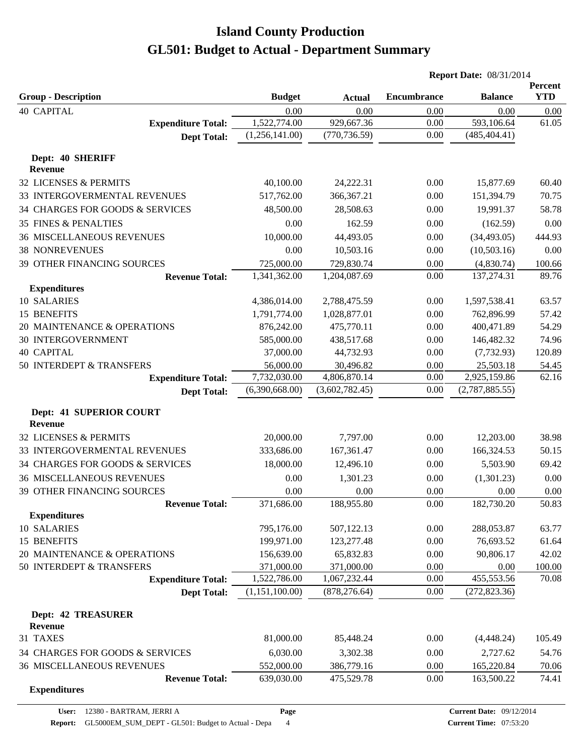|                                              |                |                | <b>Report Date: 08/31/2014</b> |                        |                       |
|----------------------------------------------|----------------|----------------|--------------------------------|------------------------|-----------------------|
| <b>Group - Description</b>                   | <b>Budget</b>  | <b>Actual</b>  | <b>Encumbrance</b>             | <b>Balance</b>         | Percent<br><b>YTD</b> |
| <b>40 CAPITAL</b>                            | 0.00           | 0.00           | 0.00                           | 0.00                   | 0.00                  |
| <b>Expenditure Total:</b>                    | 1,522,774.00   | 929,667.36     | 0.00                           | 593,106.64             | 61.05                 |
| <b>Dept Total:</b>                           | (1,256,141.00) | (770, 736.59)  | 0.00                           | (485, 404.41)          |                       |
| Dept: 40 SHERIFF                             |                |                |                                |                        |                       |
| <b>Revenue</b>                               |                |                |                                |                        |                       |
| 32 LICENSES & PERMITS                        | 40,100.00      | 24,222.31      | 0.00                           | 15,877.69              | 60.40                 |
| 33 INTERGOVERMENTAL REVENUES                 | 517,762.00     | 366, 367. 21   | 0.00                           | 151,394.79             | 70.75                 |
| 34 CHARGES FOR GOODS & SERVICES              | 48,500.00      | 28,508.63      | 0.00                           | 19,991.37              | 58.78                 |
| 35 FINES & PENALTIES                         | 0.00           | 162.59         | 0.00                           | (162.59)               | 0.00                  |
| <b>36 MISCELLANEOUS REVENUES</b>             | 10,000.00      | 44,493.05      | 0.00                           | (34, 493.05)           | 444.93                |
| <b>38 NONREVENUES</b>                        | 0.00           | 10,503.16      | 0.00                           | (10,503.16)            | 0.00                  |
| 39 OTHER FINANCING SOURCES                   | 725,000.00     | 729,830.74     | 0.00                           | (4,830.74)             | 100.66                |
| <b>Revenue Total:</b>                        | 1,341,362.00   | 1,204,087.69   | 0.00                           | 137,274.31             | 89.76                 |
| <b>Expenditures</b>                          |                |                |                                |                        |                       |
| 10 SALARIES                                  | 4,386,014.00   | 2,788,475.59   | 0.00                           | 1,597,538.41           | 63.57                 |
| 15 BENEFITS                                  | 1,791,774.00   | 1,028,877.01   | 0.00                           | 762,896.99             | 57.42                 |
| 20 MAINTENANCE & OPERATIONS                  | 876,242.00     | 475,770.11     | 0.00                           | 400,471.89             | 54.29                 |
| <b>30 INTERGOVERNMENT</b>                    | 585,000.00     | 438,517.68     | 0.00                           | 146,482.32             | 74.96                 |
| <b>40 CAPITAL</b>                            | 37,000.00      | 44,732.93      | 0.00                           | (7, 732.93)            | 120.89                |
| 50 INTERDEPT & TRANSFERS                     | 56,000.00      | 30,496.82      | 0.00                           | 25,503.18              | 54.45                 |
| <b>Expenditure Total:</b>                    | 7,732,030.00   | 4,806,870.14   | 0.00                           | 2,925,159.86           | 62.16                 |
| <b>Dept Total:</b>                           | (6,390,668.00) | (3,602,782.45) | 0.00                           | (2,787,885.55)         |                       |
| Dept: 41 SUPERIOR COURT<br><b>Revenue</b>    |                |                |                                |                        |                       |
| 32 LICENSES & PERMITS                        | 20,000.00      | 7,797.00       | 0.00                           | 12,203.00              | 38.98                 |
| 33 INTERGOVERMENTAL REVENUES                 |                |                | 0.00                           |                        |                       |
|                                              | 333,686.00     | 167,361.47     |                                | 166,324.53<br>5,503.90 | 50.15                 |
| 34 CHARGES FOR GOODS & SERVICES              | 18,000.00      | 12,496.10      | 0.00                           |                        | 69.42                 |
| <b>36 MISCELLANEOUS REVENUES</b>             | 0.00           | 1,301.23       | 0.00                           | (1,301.23)             | 0.00                  |
| 39 OTHER FINANCING SOURCES                   | 0.00           | 0.00           | 0.00                           | 0.00                   | 0.00                  |
| <b>Revenue Total:</b><br><b>Expenditures</b> | 371,686.00     | 188,955.80     | 0.00                           | 182,730.20             | 50.83                 |
| 10 SALARIES                                  | 795,176.00     | 507,122.13     | 0.00                           | 288,053.87             | 63.77                 |
| 15 BENEFITS                                  | 199,971.00     | 123,277.48     | 0.00                           | 76,693.52              | 61.64                 |
| 20 MAINTENANCE & OPERATIONS                  | 156,639.00     | 65,832.83      | 0.00                           | 90,806.17              | 42.02                 |
| 50 INTERDEPT & TRANSFERS                     | 371,000.00     | 371,000.00     | 0.00                           | 0.00                   | 100.00                |
| <b>Expenditure Total:</b>                    | 1,522,786.00   | 1,067,232.44   | 0.00                           | 455,553.56             | 70.08                 |
| <b>Dept Total:</b>                           | (1,151,100.00) | (878, 276.64)  | 0.00                           | (272, 823.36)          |                       |
| <b>Dept: 42 TREASURER</b>                    |                |                |                                |                        |                       |
| <b>Revenue</b>                               |                |                |                                |                        |                       |
| 31 TAXES                                     | 81,000.00      | 85,448.24      | 0.00                           | (4,448.24)             | 105.49                |
| 34 CHARGES FOR GOODS & SERVICES              | 6,030.00       | 3,302.38       | 0.00                           | 2,727.62               | 54.76                 |
| <b>36 MISCELLANEOUS REVENUES</b>             | 552,000.00     | 386,779.16     | 0.00                           | 165,220.84             | 70.06                 |
| <b>Revenue Total:</b>                        | 639,030.00     | 475,529.78     | 0.00                           | 163,500.22             | 74.41                 |
| <b>Expenditures</b>                          |                |                |                                |                        |                       |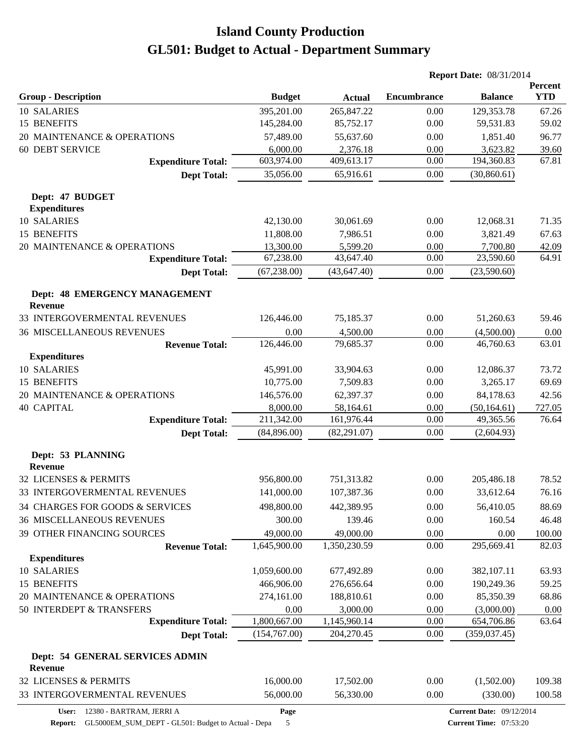|                                                 |               |               | <b>Report Date: 08/31/2014</b> |                                 |                       |
|-------------------------------------------------|---------------|---------------|--------------------------------|---------------------------------|-----------------------|
| <b>Group - Description</b>                      | <b>Budget</b> | <b>Actual</b> | <b>Encumbrance</b>             | <b>Balance</b>                  | Percent<br><b>YTD</b> |
| 10 SALARIES                                     | 395,201.00    | 265,847.22    | 0.00                           | 129,353.78                      | 67.26                 |
| 15 BENEFITS                                     | 145,284.00    | 85,752.17     | 0.00                           | 59,531.83                       | 59.02                 |
| 20 MAINTENANCE & OPERATIONS                     | 57,489.00     | 55,637.60     | 0.00                           | 1,851.40                        | 96.77                 |
| <b>60 DEBT SERVICE</b>                          | 6,000.00      | 2,376.18      | 0.00                           | 3,623.82                        | 39.60                 |
| <b>Expenditure Total:</b>                       | 603,974.00    | 409,613.17    | 0.00                           | 194,360.83                      | 67.81                 |
| <b>Dept Total:</b>                              | 35,056.00     | 65,916.61     | 0.00                           | (30, 860.61)                    |                       |
| Dept: 47 BUDGET<br><b>Expenditures</b>          |               |               |                                |                                 |                       |
| 10 SALARIES                                     | 42,130.00     | 30,061.69     | 0.00                           | 12,068.31                       | 71.35                 |
| 15 BENEFITS                                     | 11,808.00     | 7,986.51      | 0.00                           | 3,821.49                        | 67.63                 |
| 20 MAINTENANCE & OPERATIONS                     | 13,300.00     | 5,599.20      | 0.00                           | 7,700.80                        | 42.09                 |
| <b>Expenditure Total:</b>                       | 67,238.00     | 43,647.40     | 0.00                           | 23,590.60                       | 64.91                 |
| <b>Dept Total:</b>                              | (67, 238.00)  | (43, 647.40)  | $0.00\,$                       | (23,590.60)                     |                       |
| Dept: 48 EMERGENCY MANAGEMENT<br><b>Revenue</b> |               |               |                                |                                 |                       |
| 33 INTERGOVERMENTAL REVENUES                    | 126,446.00    | 75,185.37     | 0.00                           | 51,260.63                       | 59.46                 |
| <b>36 MISCELLANEOUS REVENUES</b>                | 0.00          | 4,500.00      | 0.00                           | (4,500.00)                      | 0.00                  |
| <b>Revenue Total:</b>                           | 126,446.00    | 79,685.37     | 0.00                           | 46,760.63                       | 63.01                 |
| <b>Expenditures</b>                             |               |               |                                |                                 |                       |
| 10 SALARIES                                     | 45,991.00     | 33,904.63     | 0.00                           | 12,086.37                       | 73.72                 |
| <b>15 BENEFITS</b>                              | 10,775.00     | 7,509.83      | 0.00                           | 3,265.17                        | 69.69                 |
| 20 MAINTENANCE & OPERATIONS                     | 146,576.00    | 62,397.37     | 0.00                           | 84,178.63                       | 42.56                 |
| <b>40 CAPITAL</b>                               | 8,000.00      | 58,164.61     | 0.00                           | (50, 164.61)                    | 727.05                |
| <b>Expenditure Total:</b>                       | 211,342.00    | 161,976.44    | 0.00                           | 49,365.56                       | 76.64                 |
| <b>Dept Total:</b>                              | (84,896.00)   | (82, 291.07)  | 0.00                           | (2,604.93)                      |                       |
| Dept: 53 PLANNING<br><b>Revenue</b>             |               |               |                                |                                 |                       |
| 32 LICENSES & PERMITS                           | 956,800.00    | 751,313.82    | 0.00                           | 205,486.18                      | 78.52                 |
| 33 INTERGOVERMENTAL REVENUES                    | 141,000.00    | 107,387.36    | 0.00                           | 33,612.64                       | 76.16                 |
| 34 CHARGES FOR GOODS & SERVICES                 | 498,800.00    | 442,389.95    | 0.00                           | 56,410.05                       | 88.69                 |
| <b>36 MISCELLANEOUS REVENUES</b>                | 300.00        | 139.46        | 0.00                           | 160.54                          | 46.48                 |
| 39 OTHER FINANCING SOURCES                      | 49,000.00     | 49,000.00     | 0.00                           | 0.00                            | 100.00                |
| <b>Revenue Total:</b>                           | 1,645,900.00  | 1,350,230.59  | 0.00                           | 295,669.41                      | 82.03                 |
| <b>Expenditures</b>                             |               |               |                                |                                 |                       |
| 10 SALARIES                                     | 1,059,600.00  | 677,492.89    | 0.00                           | 382,107.11                      | 63.93                 |
| 15 BENEFITS                                     | 466,906.00    | 276,656.64    | 0.00                           | 190,249.36                      | 59.25                 |
| 20 MAINTENANCE & OPERATIONS                     | 274,161.00    | 188,810.61    | 0.00                           | 85,350.39                       | 68.86                 |
| 50 INTERDEPT & TRANSFERS                        | 0.00          | 3,000.00      | 0.00                           | (3,000.00)                      | 0.00                  |
| <b>Expenditure Total:</b>                       | 1,800,667.00  | 1,145,960.14  | 0.00                           | 654,706.86                      | 63.64                 |
| <b>Dept Total:</b>                              | (154,767.00)  | 204,270.45    | 0.00                           | (359, 037.45)                   |                       |
| Dept: 54 GENERAL SERVICES ADMIN                 |               |               |                                |                                 |                       |
| <b>Revenue</b>                                  |               |               |                                |                                 |                       |
| 32 LICENSES & PERMITS                           | 16,000.00     | 17,502.00     | 0.00                           | (1,502.00)                      | 109.38                |
| 33 INTERGOVERMENTAL REVENUES                    | 56,000.00     | 56,330.00     | 0.00                           | (330.00)                        | 100.58                |
| User: 12380 - BARTRAM, JERRI A                  | Page          |               |                                | <b>Current Date: 09/12/2014</b> |                       |